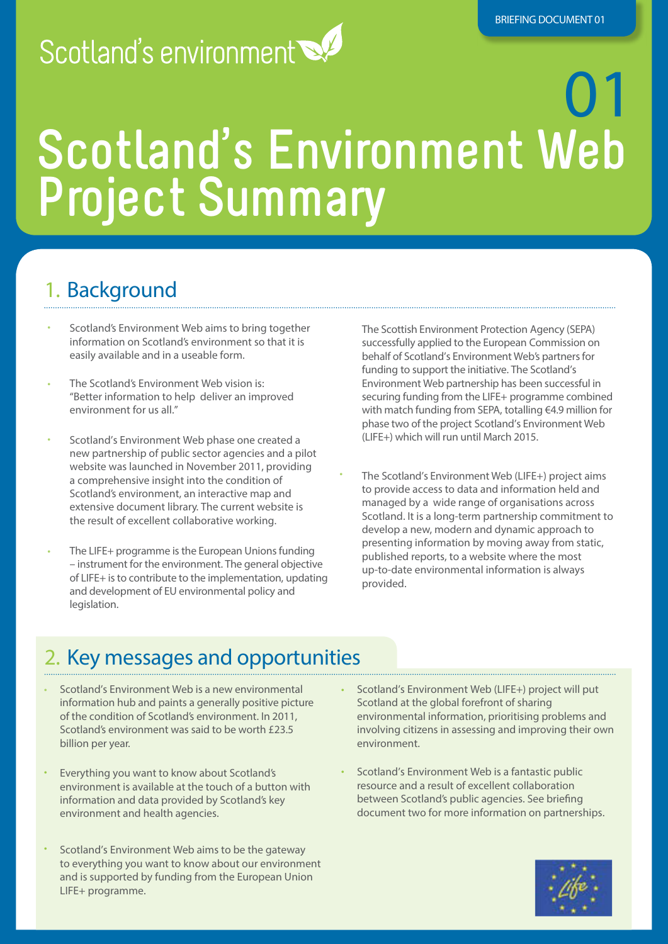# Scotland's environment

# 01 **Scotland's Environment Web Project Summary**

# 1. Background

- Scotland's Environment Web aims to bring together information on Scotland's environment so that it is easily available and in a useable form.
- The Scotland's Environment Web vision is: "Better information to help deliver an improved environment for us all."
- Scotland's Environment Web phase one created a new partnership of public sector agencies and a pilot website was launched in November 2011, providing a comprehensive insight into the condition of Scotland's environment, an interactive map and extensive document library. The current website is the result of excellent collaborative working.
- The LIFE+ programme is the European Unions funding – instrument for the environment. The general objective of LIFE+ isto contribute to the implementation, updating and development of EU environmental policy and legislation.

The Scottish Environment Protection Agency (SEPA) successfully applied to the European Commission on behalf of Scotland's Environment Web's partners for funding to support the initiative. The Scotland's Environment Web partnership has been successful in securing funding from the LIFE+ programme combined with match funding from SEPA, totalling €4.9 million for phase two of the project Scotland's Environment Web (LIFE+) which will run until March 2015.

• The Scotland's Environment Web (LIFE+) project aims to provide access to data and information held and managed by a wide range of organisations across Scotland. It is a long-term partnership commitment to develop a new, modern and dynamic approach to presenting information by moving away from static, published reports, to a website where the most up-to-date environmental information is always provided.

### 2. Key messages and opportunities

- Scotland's Environment Web is a new environmental information hub and paints a generally positive picture of the condition of Scotland's environment. In 2011, Scotland's environment was said to be worth £23.5 billion per year.
- Everything you want to know about Scotland's environment is available at the touch of a button with information and data provided by Scotland's key environment and health agencies.
- Scotland's Environment Web aims to be the gateway to everything you want to know about our environment and is supported by funding from the European Union LIFE+ programme.

• Scotland's Environment Web (LIFE+) project will put Scotland at the global forefront of sharing environmental information, prioritising problems and involving citizens in assessing and improving their own environment.

• Scotland's Environment Web is a fantastic public resource and a result of excellent collaboration between Scotland's public agencies. See briefing document two for more information on partnerships.